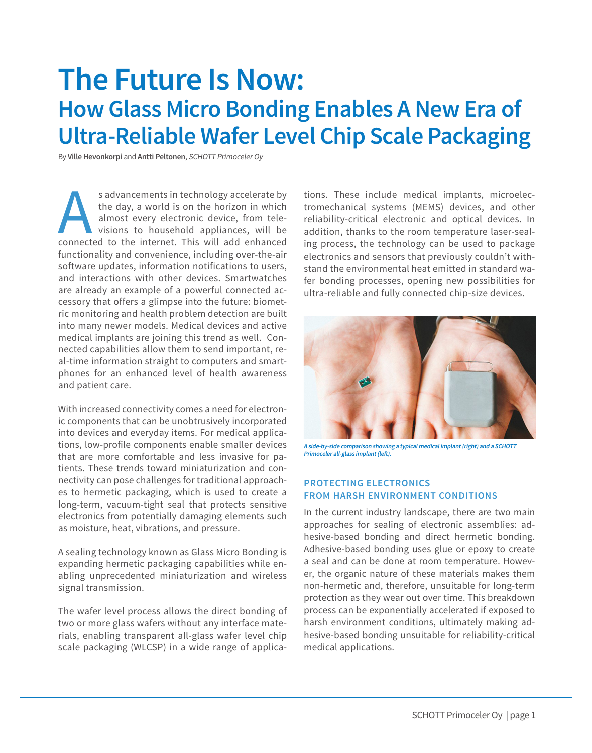# **The Future Is Now: How Glass Micro Bonding Enables A New Era of Ultra-Reliable Wafer Level Chip Scale Packaging**

By **Ville Hevonkorpi** and **Antti Peltonen**, SCHOTT Primoceler Oy

s advancements in technology accelerate by the day, a world is on the horizon in which almost every electronic device, from tele-<br>visions to household appliances, will be connected to the internet. This will add enhanced the day, a world is on the horizon in which almost every electronic device, from televisions to household appliances, will be functionality and convenience, including over-the-air software updates, information notifications to users, and interactions with other devices. Smartwatches are already an example of a powerful connected accessory that offers a glimpse into the future: biometric monitoring and health problem detection are built into many newer models. Medical devices and active medical implants are joining this trend as well. Connected capabilities allow them to send important, real-time information straight to computers and smartphones for an enhanced level of health awareness and patient care.

With increased connectivity comes a need for electronic components that can be unobtrusively incorporated into devices and everyday items. For medical applications, low-profile components enable smaller devices that are more comfortable and less invasive for patients. These trends toward miniaturization and connectivity can pose challenges for traditional approaches to hermetic packaging, which is used to create a long-term, vacuum-tight seal that protects sensitive electronics from potentially damaging elements such as moisture, heat, vibrations, and pressure.

A sealing technology known as Glass Micro Bonding is expanding hermetic packaging capabilities while enabling unprecedented miniaturization and wireless signal transmission.

The wafer level process allows the direct bonding of two or more glass wafers without any interface materials, enabling transparent all-glass wafer level chip scale packaging (WLCSP) in a wide range of applications. These include medical implants, microelectromechanical systems (MEMS) devices, and other reliability-critical electronic and optical devices. In addition, thanks to the room temperature laser-sealing process, the technology can be used to package electronics and sensors that previously couldn't withstand the environmental heat emitted in standard wafer bonding processes, opening new possibilities for ultra-reliable and fully connected chip-size devices.



**A side-by-side comparison showing a typical medical implant (right) and a SCHOTT Primoceler all-glass implant (left).**

## **PROTECTING ELECTRONICS FROM HARSH ENVIRONMENT CONDITIONS**

In the current industry landscape, there are two main approaches for sealing of electronic assemblies: adhesive-based bonding and direct hermetic bonding. Adhesive-based bonding uses glue or epoxy to create a seal and can be done at room temperature. However, the organic nature of these materials makes them non-hermetic and, therefore, unsuitable for long-term protection as they wear out over time. This breakdown process can be exponentially accelerated if exposed to harsh environment conditions, ultimately making adhesive-based bonding unsuitable for reliability-critical medical applications.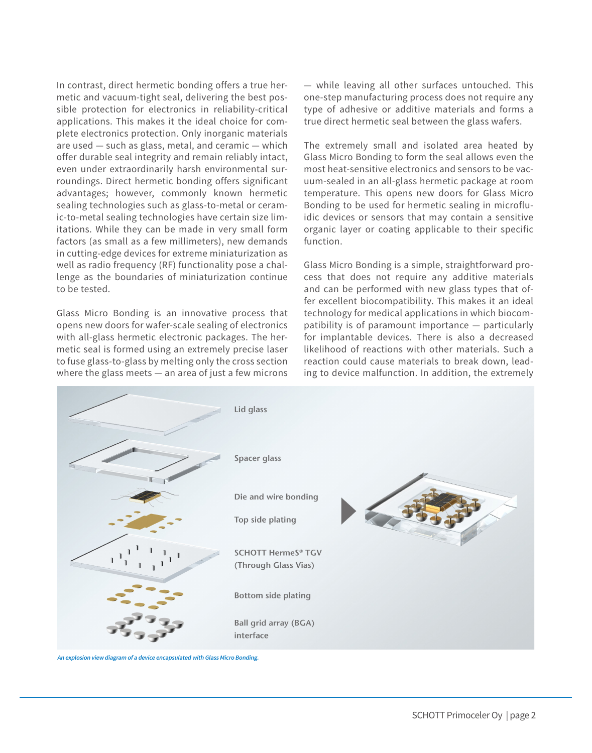In contrast, direct hermetic bonding offers a true hermetic and vacuum-tight seal, delivering the best possible protection for electronics in reliability-critical applications. This makes it the ideal choice for complete electronics protection. Only inorganic materials are used — such as glass, metal, and ceramic — which offer durable seal integrity and remain reliably intact, even under extraordinarily harsh environmental surroundings. Direct hermetic bonding offers significant advantages; however, commonly known hermetic sealing technologies such as glass-to-metal or ceramic-to-metal sealing technologies have certain size limitations. While they can be made in very small form factors (as small as a few millimeters), new demands in cutting-edge devices for extreme miniaturization as well as radio frequency (RF) functionality pose a challenge as the boundaries of miniaturization continue to be tested.

Glass Micro Bonding is an innovative process that opens new doors for wafer-scale sealing of electronics with all-glass hermetic electronic packages. The hermetic seal is formed using an extremely precise laser to fuse glass-to-glass by melting only the cross section where the glass meets — an area of just a few microns — while leaving all other surfaces untouched. This one-step manufacturing process does not require any type of adhesive or additive materials and forms a true direct hermetic seal between the glass wafers.

The extremely small and isolated area heated by Glass Micro Bonding to form the seal allows even the most heat-sensitive electronics and sensors to be vacuum-sealed in an all-glass hermetic package at room temperature. This opens new doors for Glass Micro Bonding to be used for hermetic sealing in microfluidic devices or sensors that may contain a sensitive organic layer or coating applicable to their specific function.

Glass Micro Bonding is a simple, straightforward process that does not require any additive materials and can be performed with new glass types that offer excellent biocompatibility. This makes it an ideal technology for medical applications in which biocompatibility is of paramount importance — particularly for implantable devices. There is also a decreased likelihood of reactions with other materials. Such a reaction could cause materials to break down, leading to device malfunction. In addition, the extremely



**An explosion view diagram of a device encapsulated with Glass Micro Bonding.**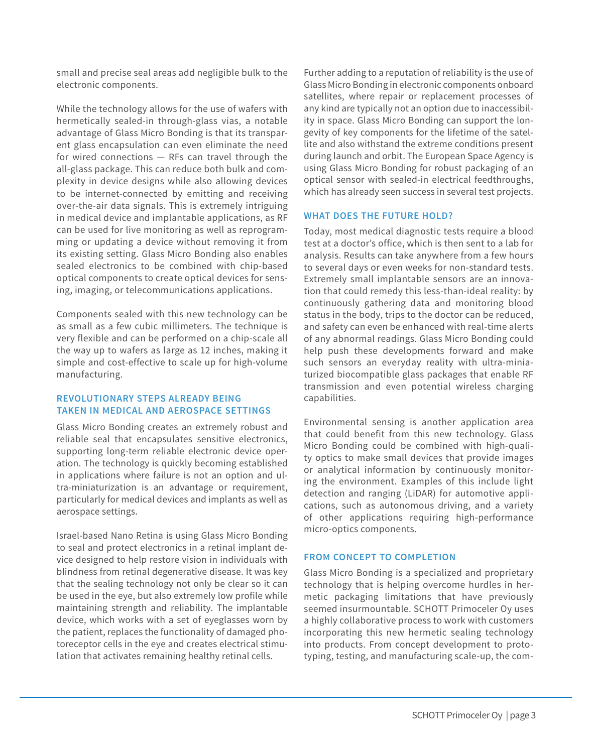small and precise seal areas add negligible bulk to the electronic components.

While the technology allows for the use of wafers with hermetically sealed-in through-glass vias, a notable advantage of Glass Micro Bonding is that its transparent glass encapsulation can even eliminate the need for wired connections — RFs can travel through the all-glass package. This can reduce both bulk and complexity in device designs while also allowing devices to be internet-connected by emitting and receiving over-the-air data signals. This is extremely intriguing in medical device and implantable applications, as RF can be used for live monitoring as well as reprogramming or updating a device without removing it from its existing setting. Glass Micro Bonding also enables sealed electronics to be combined with chip-based optical components to create optical devices for sensing, imaging, or telecommunications applications.

Components sealed with this new technology can be as small as a few cubic millimeters. The technique is very flexible and can be performed on a chip-scale all the way up to wafers as large as 12 inches, making it simple and cost-effective to scale up for high-volume manufacturing.

### **REVOLUTIONARY STEPS ALREADY BEING TAKEN IN MEDICAL AND AEROSPACE SETTINGS**

Glass Micro Bonding creates an extremely robust and reliable seal that encapsulates sensitive electronics, supporting long-term reliable electronic device operation. The technology is quickly becoming established in applications where failure is not an option and ultra-miniaturization is an advantage or requirement, particularly for medical devices and implants as well as aerospace settings.

Israel-based Nano Retina is using Glass Micro Bonding to seal and protect electronics in a retinal implant device designed to help restore vision in individuals with blindness from retinal degenerative disease. It was key that the sealing technology not only be clear so it can be used in the eye, but also extremely low profile while maintaining strength and reliability. The implantable device, which works with a set of eyeglasses worn by the patient, replaces the functionality of damaged photoreceptor cells in the eye and creates electrical stimulation that activates remaining healthy retinal cells.

Further adding to a reputation of reliability is the use of Glass Micro Bonding in electronic components onboard satellites, where repair or replacement processes of any kind are typically not an option due to inaccessibility in space. Glass Micro Bonding can support the longevity of key components for the lifetime of the satellite and also withstand the extreme conditions present during launch and orbit. The European Space Agency is using Glass Micro Bonding for robust packaging of an optical sensor with sealed-in electrical feedthroughs, which has already seen success in several test projects.

## **WHAT DOES THE FUTURE HOLD?**

Today, most medical diagnostic tests require a blood test at a doctor's office, which is then sent to a lab for analysis. Results can take anywhere from a few hours to several days or even weeks for non-standard tests. Extremely small implantable sensors are an innovation that could remedy this less-than-ideal reality: by continuously gathering data and monitoring blood status in the body, trips to the doctor can be reduced, and safety can even be enhanced with real-time alerts of any abnormal readings. Glass Micro Bonding could help push these developments forward and make such sensors an everyday reality with ultra-miniaturized biocompatible glass packages that enable RF transmission and even potential wireless charging capabilities.

Environmental sensing is another application area that could benefit from this new technology. Glass Micro Bonding could be combined with high-quality optics to make small devices that provide images or analytical information by continuously monitoring the environment. Examples of this include light detection and ranging (LiDAR) for automotive applications, such as autonomous driving, and a variety of other applications requiring high-performance micro-optics components.

#### **FROM CONCEPT TO COMPLETION**

Glass Micro Bonding is a specialized and proprietary technology that is helping overcome hurdles in hermetic packaging limitations that have previously seemed insurmountable. SCHOTT Primoceler Oy uses a highly collaborative process to work with customers incorporating this new hermetic sealing technology into products. From concept development to prototyping, testing, and manufacturing scale-up, the com-